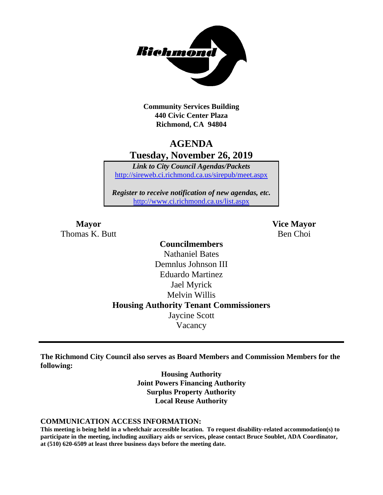

**Community Services Building 440 Civic Center Plaza Richmond, CA 94804**

## **AGENDA Tuesday, November 26, 2019**

*Link to City Council Agendas/Packets* <http://sireweb.ci.richmond.ca.us/sirepub/meet.aspx>

*Register to receive notification of new agendas, etc.* <http://www.ci.richmond.ca.us/list.aspx>

**Mayor Vice Mayor** Thomas K. Butt Ben Choi

**Councilmembers** Nathaniel Bates Demnlus Johnson III Eduardo Martinez Jael Myrick Melvin Willis **Housing Authority Tenant Commissioners** Jaycine Scott Vacancy

**The Richmond City Council also serves as Board Members and Commission Members for the following:**

> **Housing Authority Joint Powers Financing Authority Surplus Property Authority Local Reuse Authority**

#### **COMMUNICATION ACCESS INFORMATION:**

**This meeting is being held in a wheelchair accessible location. To request disability-related accommodation(s) to participate in the meeting, including auxiliary aids or services, please contact Bruce Soublet, ADA Coordinator, at (510) 620-6509 at least three business days before the meeting date.**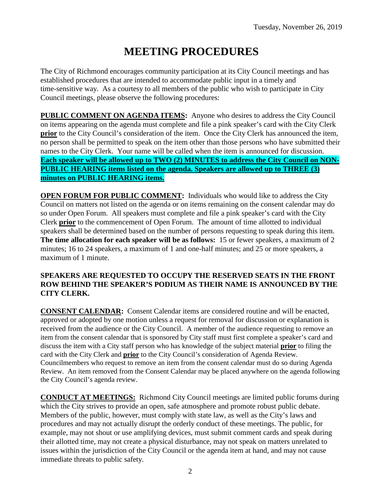# **MEETING PROCEDURES**

The City of Richmond encourages community participation at its City Council meetings and has established procedures that are intended to accommodate public input in a timely and time-sensitive way. As a courtesy to all members of the public who wish to participate in City Council meetings, please observe the following procedures:

**PUBLIC COMMENT ON AGENDA ITEMS:** Anyone who desires to address the City Council on items appearing on the agenda must complete and file a pink speaker's card with the City Clerk **prior** to the City Council's consideration of the item. Once the City Clerk has announced the item, no person shall be permitted to speak on the item other than those persons who have submitted their names to the City Clerk. Your name will be called when the item is announced for discussion. **Each speaker will be allowed up to TWO (2) MINUTES to address the City Council on NON-PUBLIC HEARING items listed on the agenda. Speakers are allowed up to THREE (3) minutes on PUBLIC HEARING items.**

**OPEN FORUM FOR PUBLIC COMMENT:** Individuals who would like to address the City Council on matters not listed on the agenda or on items remaining on the consent calendar may do so under Open Forum. All speakers must complete and file a pink speaker's card with the City Clerk **prior** to the commencement of Open Forum. The amount of time allotted to individual speakers shall be determined based on the number of persons requesting to speak during this item. **The time allocation for each speaker will be as follows:** 15 or fewer speakers, a maximum of 2 minutes; 16 to 24 speakers, a maximum of 1 and one-half minutes; and 25 or more speakers, a maximum of 1 minute.

## **SPEAKERS ARE REQUESTED TO OCCUPY THE RESERVED SEATS IN THE FRONT ROW BEHIND THE SPEAKER'S PODIUM AS THEIR NAME IS ANNOUNCED BY THE CITY CLERK.**

**CONSENT CALENDAR:** Consent Calendar items are considered routine and will be enacted, approved or adopted by one motion unless a request for removal for discussion or explanation is received from the audience or the City Council. A member of the audience requesting to remove an item from the consent calendar that is sponsored by City staff must first complete a speaker's card and discuss the item with a City staff person who has knowledge of the subject material **prior** to filing the card with the City Clerk and **prior** to the City Council's consideration of Agenda Review. Councilmembers who request to remove an item from the consent calendar must do so during Agenda Review. An item removed from the Consent Calendar may be placed anywhere on the agenda following the City Council's agenda review.

**CONDUCT AT MEETINGS:** Richmond City Council meetings are limited public forums during which the City strives to provide an open, safe atmosphere and promote robust public debate. Members of the public, however, must comply with state law, as well as the City's laws and procedures and may not actually disrupt the orderly conduct of these meetings. The public, for example, may not shout or use amplifying devices, must submit comment cards and speak during their allotted time, may not create a physical disturbance, may not speak on matters unrelated to issues within the jurisdiction of the City Council or the agenda item at hand, and may not cause immediate threats to public safety.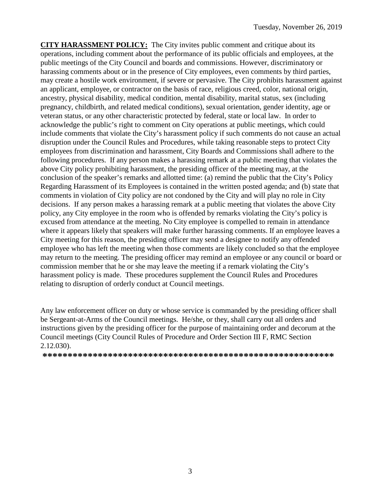**CITY HARASSMENT POLICY:** The City invites public comment and critique about its operations, including comment about the performance of its public officials and employees, at the public meetings of the City Council and boards and commissions. However, discriminatory or harassing comments about or in the presence of City employees, even comments by third parties, may create a hostile work environment, if severe or pervasive. The City prohibits harassment against an applicant, employee, or contractor on the basis of race, religious creed, color, national origin, ancestry, physical disability, medical condition, mental disability, marital status, sex (including pregnancy, childbirth, and related medical conditions), sexual orientation, gender identity, age or veteran status, or any other characteristic protected by federal, state or local law. In order to acknowledge the public's right to comment on City operations at public meetings, which could include comments that violate the City's harassment policy if such comments do not cause an actual disruption under the Council Rules and Procedures, while taking reasonable steps to protect City employees from discrimination and harassment, City Boards and Commissions shall adhere to the following procedures. If any person makes a harassing remark at a public meeting that violates the above City policy prohibiting harassment, the presiding officer of the meeting may, at the conclusion of the speaker's remarks and allotted time: (a) remind the public that the City's Policy Regarding Harassment of its Employees is contained in the written posted agenda; and (b) state that comments in violation of City policy are not condoned by the City and will play no role in City decisions. If any person makes a harassing remark at a public meeting that violates the above City policy, any City employee in the room who is offended by remarks violating the City's policy is excused from attendance at the meeting. No City employee is compelled to remain in attendance where it appears likely that speakers will make further harassing comments. If an employee leaves a City meeting for this reason, the presiding officer may send a designee to notify any offended employee who has left the meeting when those comments are likely concluded so that the employee may return to the meeting. The presiding officer may remind an employee or any council or board or commission member that he or she may leave the meeting if a remark violating the City's harassment policy is made. These procedures supplement the Council Rules and Procedures relating to disruption of orderly conduct at Council meetings.

Any law enforcement officer on duty or whose service is commanded by the presiding officer shall be Sergeant-at-Arms of the Council meetings. He/she, or they, shall carry out all orders and instructions given by the presiding officer for the purpose of maintaining order and decorum at the Council meetings (City Council Rules of Procedure and Order Section III F, RMC Section 2.12.030).

**\*\*\*\*\*\*\*\*\*\*\*\*\*\*\*\*\*\*\*\*\*\*\*\*\*\*\*\*\*\*\*\*\*\*\*\*\*\*\*\*\*\*\*\*\*\*\*\*\*\*\*\*\*\*\*\*\*\***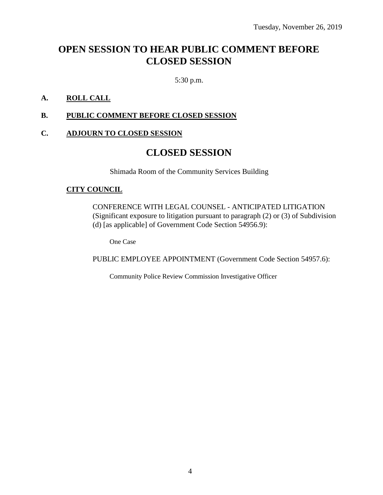## **OPEN SESSION TO HEAR PUBLIC COMMENT BEFORE CLOSED SESSION**

5:30 p.m.

## **A. ROLL CALL**

## **B. PUBLIC COMMENT BEFORE CLOSED SESSION**

## **C. ADJOURN TO CLOSED SESSION**

## **CLOSED SESSION**

Shimada Room of the Community Services Building

### **CITY COUNCIL**

CONFERENCE WITH LEGAL COUNSEL - ANTICIPATED LITIGATION (Significant exposure to litigation pursuant to paragraph (2) or (3) of Subdivision (d) [as applicable] of Government Code Section 54956.9):

One Case

PUBLIC EMPLOYEE APPOINTMENT (Government Code Section 54957.6):

Community Police Review Commission Investigative Officer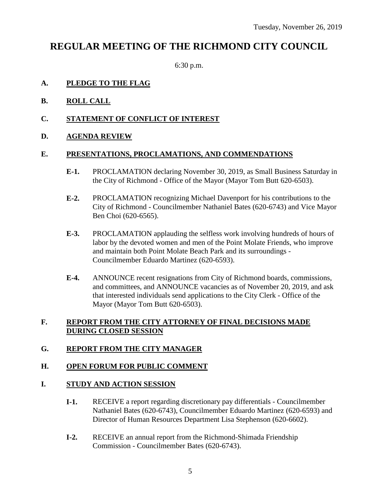## **REGULAR MEETING OF THE RICHMOND CITY COUNCIL**

6:30 p.m.

## **A. PLEDGE TO THE FLAG**

- **B. ROLL CALL**
- **C. STATEMENT OF CONFLICT OF INTEREST**
- **D. AGENDA REVIEW**

### **E. PRESENTATIONS, PROCLAMATIONS, AND COMMENDATIONS**

- **E-1.** PROCLAMATION declaring November 30, 2019, as Small Business Saturday in the City of Richmond - Office of the Mayor (Mayor Tom Butt 620-6503).
- **E-2.** PROCLAMATION recognizing Michael Davenport for his contributions to the City of Richmond - Councilmember Nathaniel Bates (620-6743) and Vice Mayor Ben Choi (620-6565).
- **E-3.** PROCLAMATION applauding the selfless work involving hundreds of hours of labor by the devoted women and men of the Point Molate Friends, who improve and maintain both Point Molate Beach Park and its surroundings - Councilmember Eduardo Martinez (620-6593).
- **E-4.** ANNOUNCE recent resignations from City of Richmond boards, commissions, and committees, and ANNOUNCE vacancies as of November 20, 2019, and ask that interested individuals send applications to the City Clerk - Office of the Mayor (Mayor Tom Butt 620-6503).

## **F. REPORT FROM THE CITY ATTORNEY OF FINAL DECISIONS MADE DURING CLOSED SESSION**

## **G. REPORT FROM THE CITY MANAGER**

## **H. OPEN FORUM FOR PUBLIC COMMENT**

## **I. STUDY AND ACTION SESSION**

- **I-1.** RECEIVE a report regarding discretionary pay differentials Councilmember Nathaniel Bates (620-6743), Councilmember Eduardo Martinez (620-6593) and Director of Human Resources Department Lisa Stephenson (620-6602).
- **I-2.** RECEIVE an annual report from the Richmond-Shimada Friendship Commission - Councilmember Bates (620-6743).